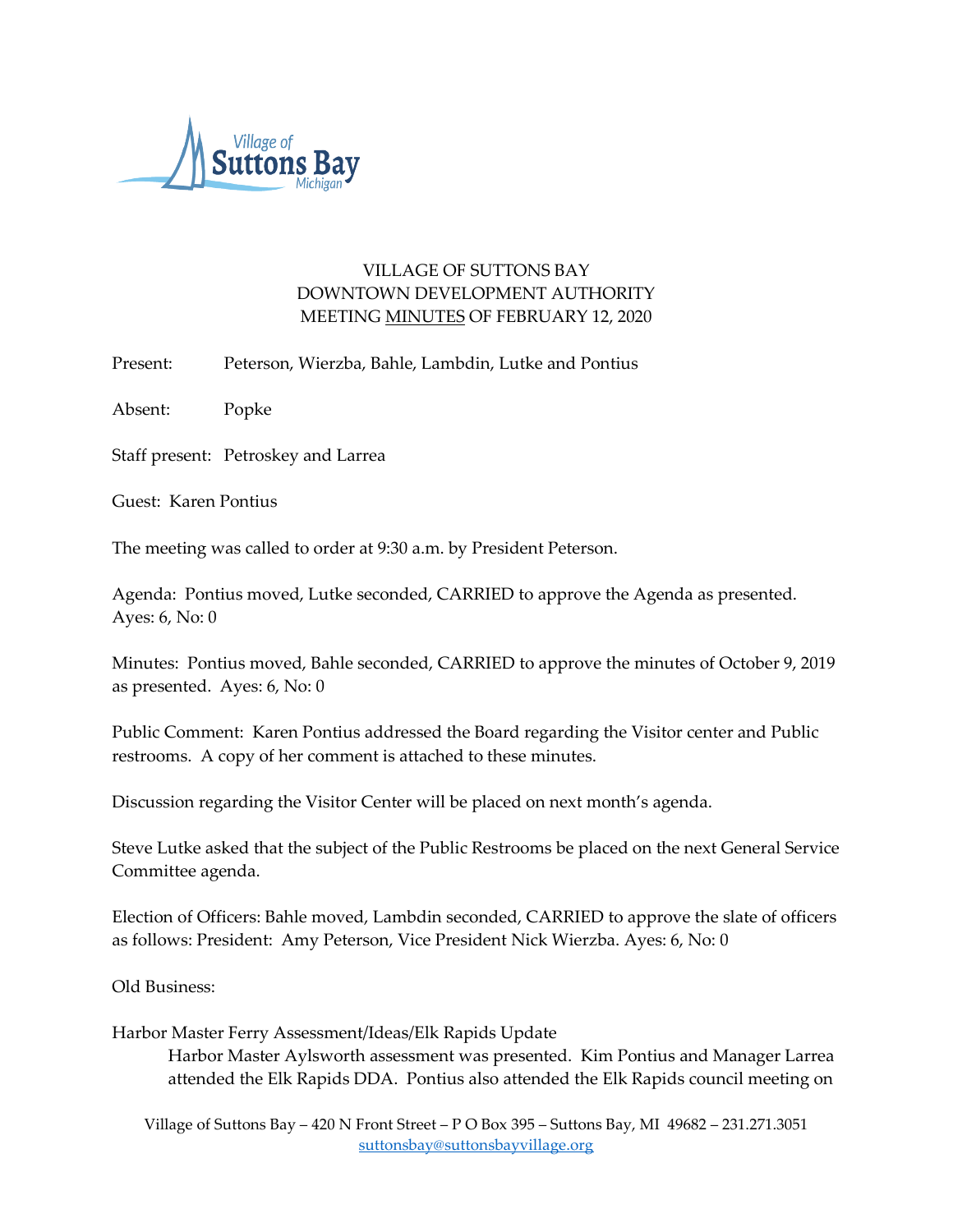

# VILLAGE OF SUTTONS BAY DOWNTOWN DEVELOPMENT AUTHORITY MEETING MINUTES OF FEBRUARY 12, 2020

Present: Peterson, Wierzba, Bahle, Lambdin, Lutke and Pontius

Absent: Popke

Staff present: Petroskey and Larrea

Guest: Karen Pontius

The meeting was called to order at 9:30 a.m. by President Peterson.

Agenda: Pontius moved, Lutke seconded, CARRIED to approve the Agenda as presented. Ayes: 6, No: 0

Minutes: Pontius moved, Bahle seconded, CARRIED to approve the minutes of October 9, 2019 as presented. Ayes: 6, No: 0

Public Comment: Karen Pontius addressed the Board regarding the Visitor center and Public restrooms. A copy of her comment is attached to these minutes.

Discussion regarding the Visitor Center will be placed on next month's agenda.

Steve Lutke asked that the subject of the Public Restrooms be placed on the next General Service Committee agenda.

Election of Officers: Bahle moved, Lambdin seconded, CARRIED to approve the slate of officers as follows: President: Amy Peterson, Vice President Nick Wierzba. Ayes: 6, No: 0

Old Business:

Harbor Master Ferry Assessment/Ideas/Elk Rapids Update

Harbor Master Aylsworth assessment was presented. Kim Pontius and Manager Larrea attended the Elk Rapids DDA. Pontius also attended the Elk Rapids council meeting on

Village of Suttons Bay – 420 N Front Street – P O Box 395 – Suttons Bay, MI 49682 – 231.271.3051 [suttonsbay@suttonsbayvillage.org](mailto:suttonsbay@suttonsbayvillage.org)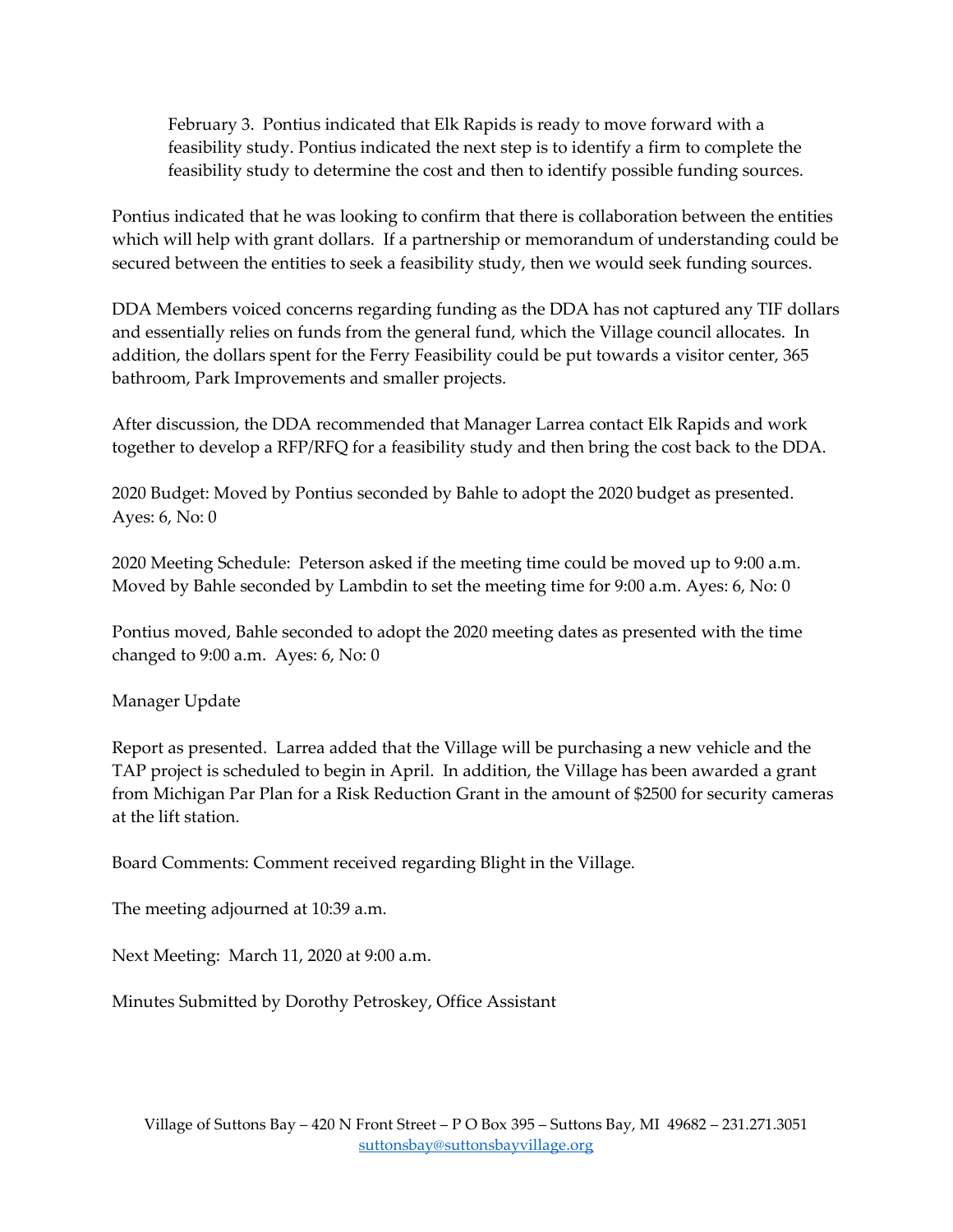February 3. Pontius indicated that Elk Rapids is ready to move forward with a feasibility study. Pontius indicated the next step is to identify a firm to complete the feasibility study to determine the cost and then to identify possible funding sources.

Pontius indicated that he was looking to confirm that there is collaboration between the entities which will help with grant dollars. If a partnership or memorandum of understanding could be secured between the entities to seek a feasibility study, then we would seek funding sources.

DDA Members voiced concerns regarding funding as the DDA has not captured any TIF dollars and essentially relies on funds from the general fund, which the Village council allocates. In addition, the dollars spent for the Ferry Feasibility could be put towards a visitor center, 365 bathroom, Park Improvements and smaller projects.

After discussion, the DDA recommended that Manager Larrea contact Elk Rapids and work together to develop a RFP/RFQ for a feasibility study and then bring the cost back to the DDA.

2020 Budget: Moved by Pontius seconded by Bahle to adopt the 2020 budget as presented. Ayes: 6, No: 0

2020 Meeting Schedule: Peterson asked if the meeting time could be moved up to 9:00 a.m. Moved by Bahle seconded by Lambdin to set the meeting time for 9:00 a.m. Ayes: 6, No: 0

Pontius moved, Bahle seconded to adopt the 2020 meeting dates as presented with the time changed to 9:00 a.m. Ayes: 6, No: 0

Manager Update

Report as presented. Larrea added that the Village will be purchasing a new vehicle and the TAP project is scheduled to begin in April. In addition, the Village has been awarded a grant from Michigan Par Plan for a Risk Reduction Grant in the amount of \$2500 for security cameras at the lift station.

Board Comments: Comment received regarding Blight in the Village.

The meeting adjourned at 10:39 a.m.

Next Meeting: March 11, 2020 at 9:00 a.m.

Minutes Submitted by Dorothy Petroskey, Office Assistant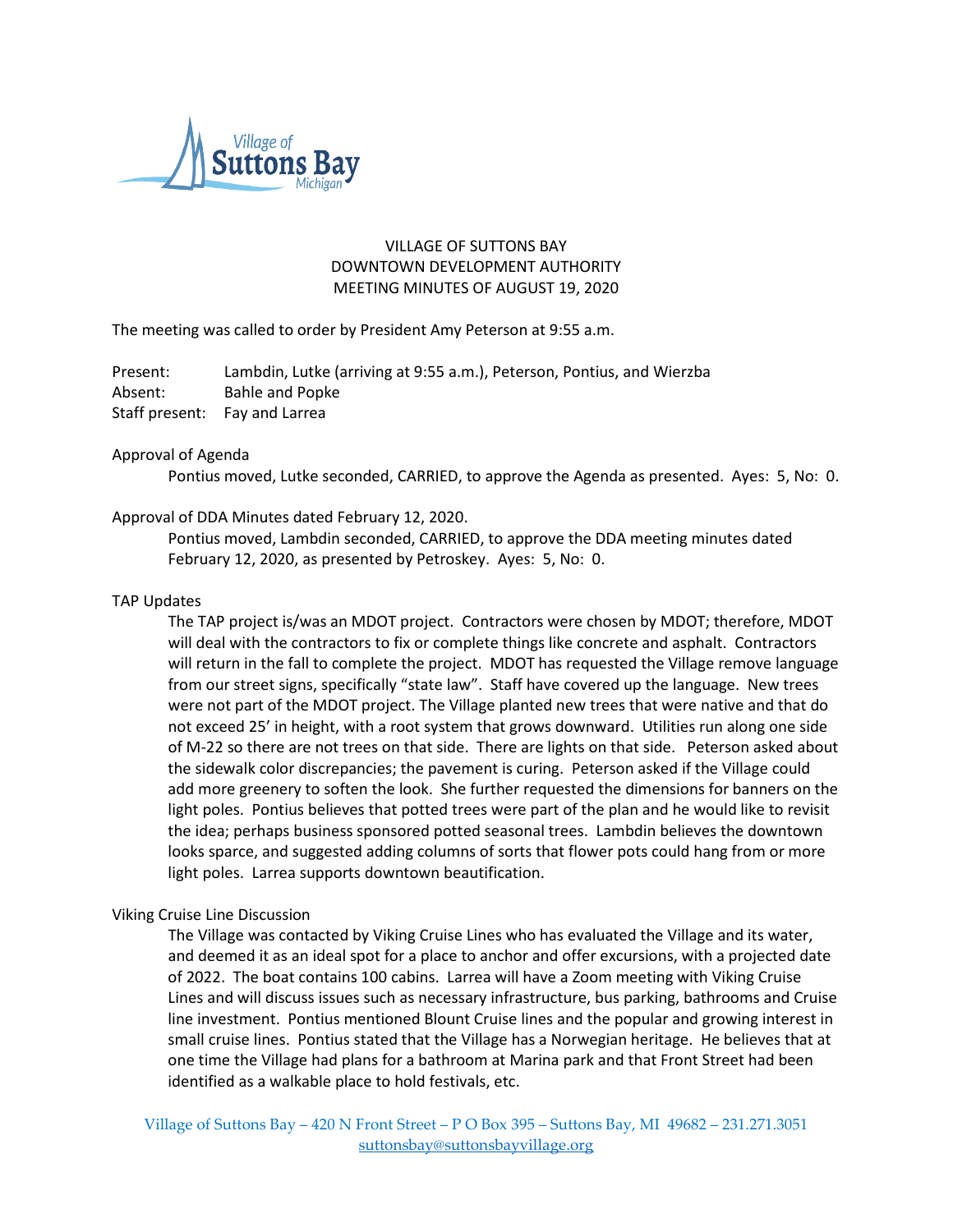

# VILLAGE OF SUTTONS BAY DOWNTOWN DEVELOPMENT AUTHORITY MEETING MINUTES OF AUGUST 19, 2020

The meeting was called to order by President Amy Peterson at 9:55 a.m.

Present: Lambdin, Lutke (arriving at 9:55 a.m.), Peterson, Pontius, and Wierzba Absent: Bahle and Popke Staff present: Fay and Larrea

### Approval of Agenda

Pontius moved, Lutke seconded, CARRIED, to approve the Agenda as presented. Ayes: 5, No: 0.

# Approval of DDA Minutes dated February 12, 2020.

Pontius moved, Lambdin seconded, CARRIED, to approve the DDA meeting minutes dated February 12, 2020, as presented by Petroskey. Ayes: 5, No: 0.

# TAP Updates

The TAP project is/was an MDOT project. Contractors were chosen by MDOT; therefore, MDOT will deal with the contractors to fix or complete things like concrete and asphalt. Contractors will return in the fall to complete the project. MDOT has requested the Village remove language from our street signs, specifically "state law". Staff have covered up the language. New trees were not part of the MDOT project. The Village planted new trees that were native and that do not exceed 25' in height, with a root system that grows downward. Utilities run along one side of M-22 so there are not trees on that side. There are lights on that side. Peterson asked about the sidewalk color discrepancies; the pavement is curing. Peterson asked if the Village could add more greenery to soften the look. She further requested the dimensions for banners on the light poles. Pontius believes that potted trees were part of the plan and he would like to revisit the idea; perhaps business sponsored potted seasonal trees. Lambdin believes the downtown looks sparce, and suggested adding columns of sorts that flower pots could hang from or more light poles. Larrea supports downtown beautification.

### Viking Cruise Line Discussion

The Village was contacted by Viking Cruise Lines who has evaluated the Village and its water, and deemed it as an ideal spot for a place to anchor and offer excursions, with a projected date of 2022. The boat contains 100 cabins. Larrea will have a Zoom meeting with Viking Cruise Lines and will discuss issues such as necessary infrastructure, bus parking, bathrooms and Cruise line investment. Pontius mentioned Blount Cruise lines and the popular and growing interest in small cruise lines. Pontius stated that the Village has a Norwegian heritage. He believes that at one time the Village had plans for a bathroom at Marina park and that Front Street had been identified as a walkable place to hold festivals, etc.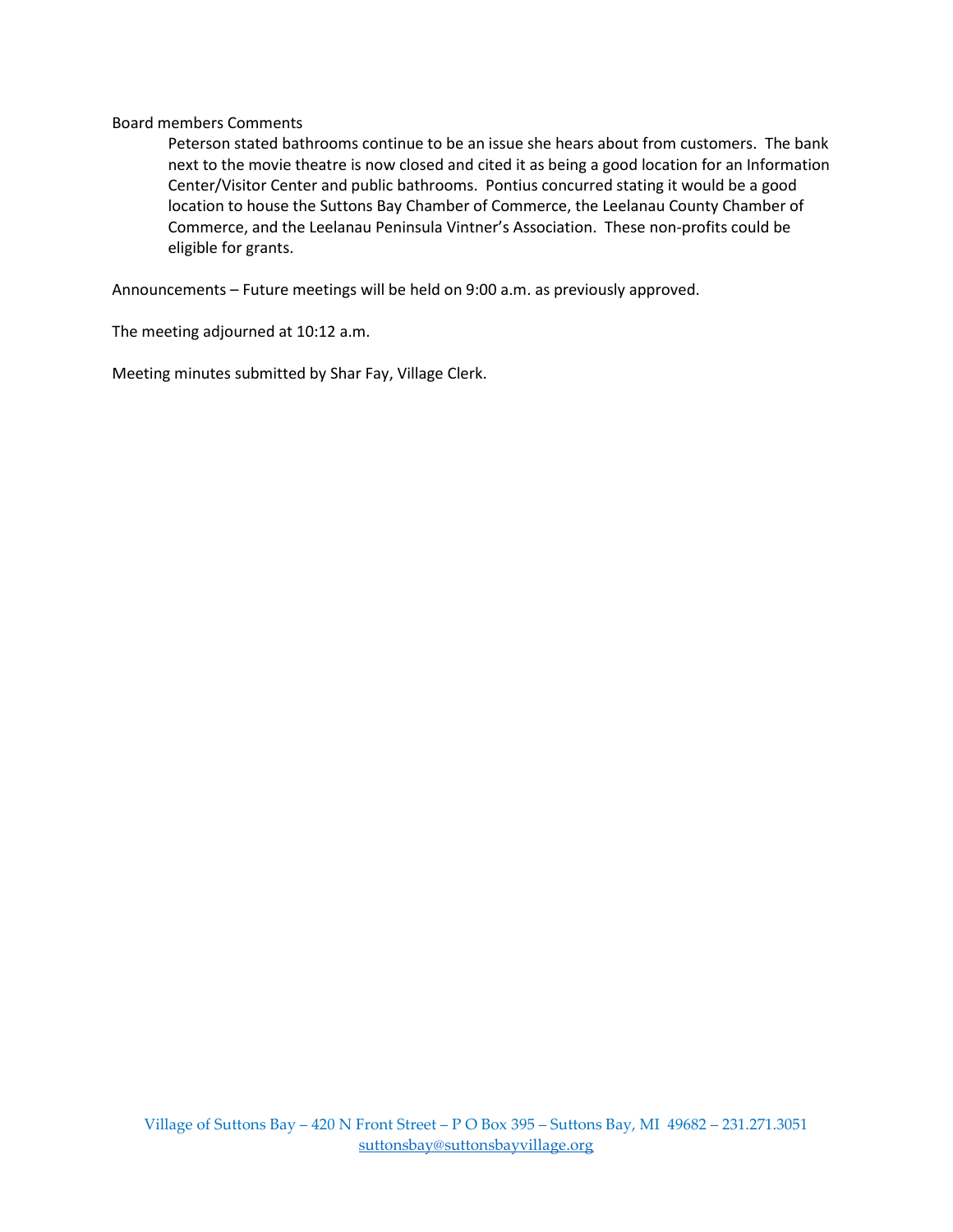# Board members Comments

Peterson stated bathrooms continue to be an issue she hears about from customers. The bank next to the movie theatre is now closed and cited it as being a good location for an Information Center/Visitor Center and public bathrooms. Pontius concurred stating it would be a good location to house the Suttons Bay Chamber of Commerce, the Leelanau County Chamber of Commerce, and the Leelanau Peninsula Vintner's Association. These non-profits could be eligible for grants.

Announcements – Future meetings will be held on 9:00 a.m. as previously approved.

The meeting adjourned at 10:12 a.m.

Meeting minutes submitted by Shar Fay, Village Clerk.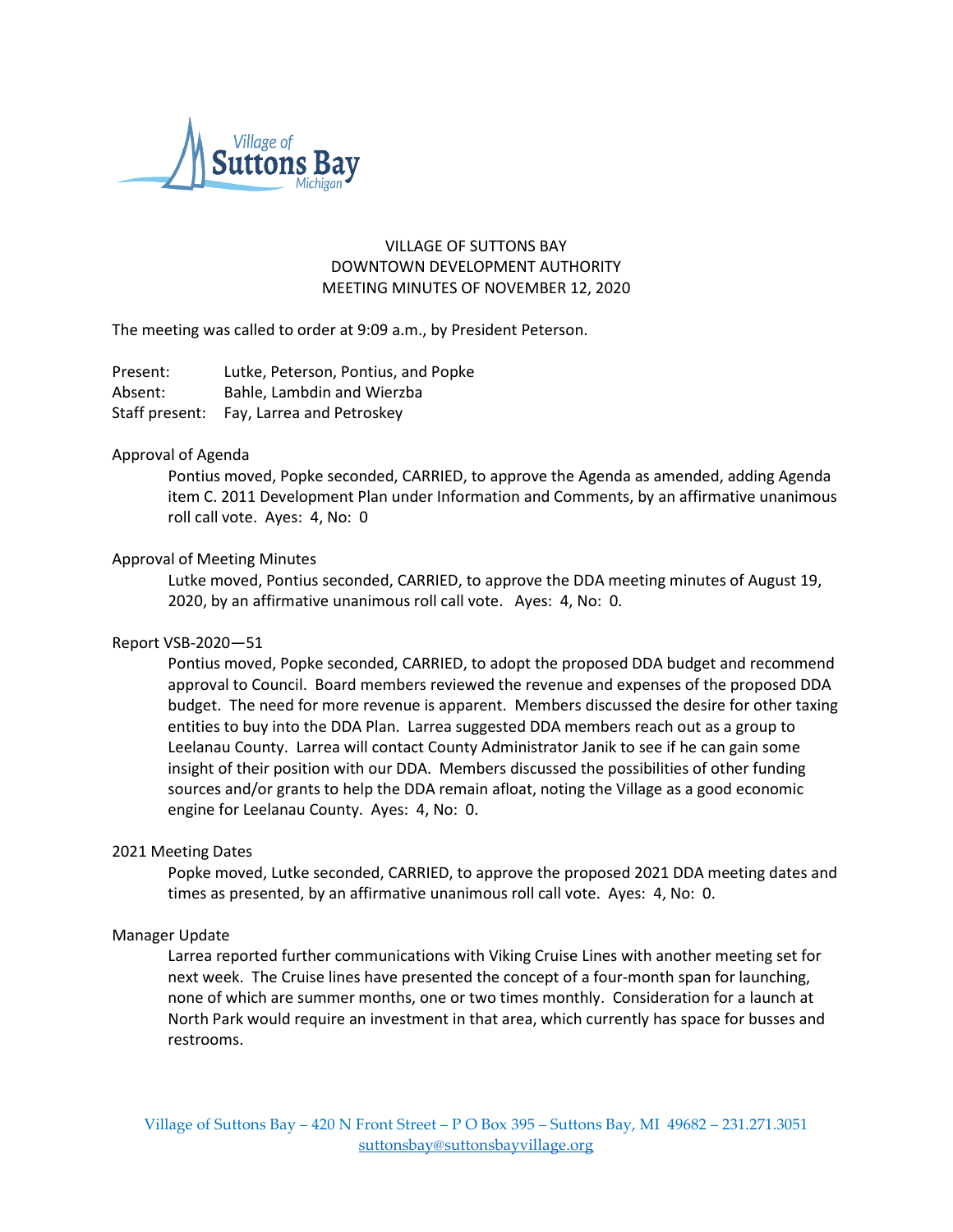

# VILLAGE OF SUTTONS BAY DOWNTOWN DEVELOPMENT AUTHORITY MEETING MINUTES OF NOVEMBER 12, 2020

The meeting was called to order at 9:09 a.m., by President Peterson.

Present: Lutke, Peterson, Pontius, and Popke Absent: Bahle, Lambdin and Wierzba Staff present: Fay, Larrea and Petroskey

### Approval of Agenda

Pontius moved, Popke seconded, CARRIED, to approve the Agenda as amended, adding Agenda item C. 2011 Development Plan under Information and Comments, by an affirmative unanimous roll call vote. Ayes: 4, No: 0

# Approval of Meeting Minutes

Lutke moved, Pontius seconded, CARRIED, to approve the DDA meeting minutes of August 19, 2020, by an affirmative unanimous roll call vote. Ayes: 4, No: 0.

### Report VSB-2020—51

Pontius moved, Popke seconded, CARRIED, to adopt the proposed DDA budget and recommend approval to Council. Board members reviewed the revenue and expenses of the proposed DDA budget. The need for more revenue is apparent. Members discussed the desire for other taxing entities to buy into the DDA Plan. Larrea suggested DDA members reach out as a group to Leelanau County. Larrea will contact County Administrator Janik to see if he can gain some insight of their position with our DDA. Members discussed the possibilities of other funding sources and/or grants to help the DDA remain afloat, noting the Village as a good economic engine for Leelanau County. Ayes: 4, No: 0.

### 2021 Meeting Dates

Popke moved, Lutke seconded, CARRIED, to approve the proposed 2021 DDA meeting dates and times as presented, by an affirmative unanimous roll call vote. Ayes: 4, No: 0.

### Manager Update

Larrea reported further communications with Viking Cruise Lines with another meeting set for next week. The Cruise lines have presented the concept of a four-month span for launching, none of which are summer months, one or two times monthly. Consideration for a launch at North Park would require an investment in that area, which currently has space for busses and restrooms.